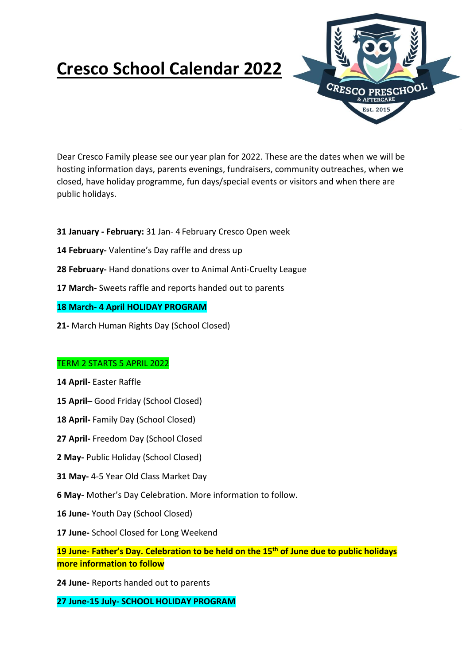



Dear Cresco Family please see our year plan for 2022. These are the dates when we will be hosting information days, parents evenings, fundraisers, community outreaches, when we closed, have holiday programme, fun days/special events or visitors and when there are public holidays.

- **31 January - February:** 31 Jan- 4 February Cresco Open week
- **14 February-** Valentine's Day raffle and dress up
- **28 February-** Hand donations over to Animal Anti-Cruelty League
- **17 March-** Sweets raffle and reports handed out to parents

## **18 March- 4 April HOLIDAY PROGRAM**

**21-** March Human Rights Day (School Closed)

# TERM 2 STARTS 5 APRIL 2022

- **14 April-** Easter Raffle
- **15 April–** Good Friday (School Closed)
- **18 April-** Family Day (School Closed)
- **27 April-** Freedom Day (School Closed
- **2 May-** Public Holiday (School Closed)
- **31 May-** 4-5 Year Old Class Market Day
- **6 May** Mother's Day Celebration. More information to follow.
- **16 June-** Youth Day (School Closed)
- **17 June-** School Closed for Long Weekend

**19 June- Father's Day. Celebration to be held on the 15th of June due to public holidays more information to follow**

**24 June-** Reports handed out to parents

# **27 June-15 July- SCHOOL HOLIDAY PROGRAM**